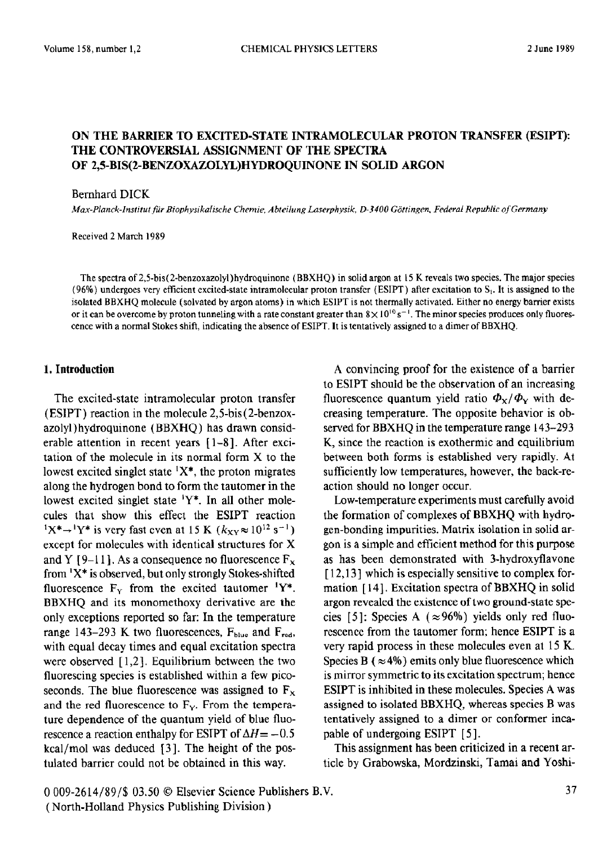# ON THE BARRIER TO EXCITED-STATE INTRAMOLECULAR PROTON TRANSFER (ESIPT): THE CONTROVERSIAL ASSIGNMENT OF THE SPECTRA OF 2,5-BIS(2-BENZOXAZOLYIJHYDROQUINONE IN SOLID ARGON

Bernhard DICK

*Max-Planck-lnstitut ftir Biophysikalische Chemie, Abteilung Luserphysik, D-3400 Gdttingen, Federal Republic sf Germany* 

Received 2 March 1989

The spectra of 2,5-bis( 2-benzoxazolyl)hydroquinone (BBXHQ) in solid argon at IS K reveals two species. The major species (96%) undergoes very efficient excited-state intramolecular proton transfer (ESIPT) after excitation to  $S<sub>1</sub>$ . It is assigned to the isolated BBXHQ molecule (solvated by argon atoms) in which ESIPT is not thermally activated. Either no energy barrier exists or it can be overcome by proton tunneling with a rate constant greater than  $8 \times 10^{10}$  s<sup>-1</sup>. The minor species produces only fluorescence with a normal Stokes shift, indicating the absence of ESIPT. It is tentatively assigned to a dimer of BBXHQ.

#### **I, Introduction**

The excited-state intramolecular proton transfer **(ESIPT)** reaction in the molecule 2,5-bis( 2-benzoxazolyl) hydroquinone (BBXHQ ) has drawn considerable attention in recent years [l-8]. After excitation of the molecule in its normal form X to the lowest excited singlet state  $X^*$ , the proton migrates along the hydrogen bond to form the tautomer in the lowest excited singlet state  $Y^*$ . In all other molecules that show this effect the ESIPT reaction  $1X^* \rightarrow 1Y^*$  is very fast even at 15 K  $(k_{XY} \approx 10^{12} \text{ s}^{-1})$ except for molecules with identical structures for X and Y [9-11]. As a consequence no fluorescence  $F_x$ from  $X^*$  is observed, but only strongly Stokes-shifted fluorescence  $F_Y$  from the excited tautomer <sup>1</sup>Y\*. **BBXHQ** and its monomethoxy derivative are the only exceptions reported so far: In the temperature range 143-293 K two fluorescences,  $F_{blue}$  and  $F_{red}$ , with equal decay times and equal excitation spectra were observed  $[1,2]$ . Equilibrium between the two fluorescing species is established within a few picoseconds. The blue fluorescence was assigned to  $F_x$ and the red fluorescence to  $F<sub>Y</sub>$ . From the temperature dependence of the quantum yield of blue fluorescence a reaction enthalpy for ESIPT of  $\Delta H = -0.5$  $kcal/mol$  was deduced [3]. The height of the postulated barrier could not be obtained in this way.

A convincing proof for the existence of a barrier to ESIPT should be the observation of an increasing fluorescence quantum yield ratio  $\Phi_{X}/\Phi_{Y}$  with decreasing temperature. The opposite behavior is observed for BBXHQ in the temperature range 143-293 K, since the reaction is exothermic and equilibrium between both forms is established very rapidly. At sufficiently low temperatures, however, the back-reaction should no longer occur.

Low-temperature experiments must carefully avoid the formation of complexes of BBXHQ with hydrogen-bonding impurities. Matrix isolation in solid argon is a simple and efficient method for this purpose as has been demonstrated with 3-hydroxyflavone [12,13] which is especially sensitive to complex formation [ 141. Excitation spectra of BBXHQ in solid argon revealed the existence of two ground-state species [5]: Species A ( $\approx$ 96%) yields only red fluorescence from the tautomer form; hence ESIPT is a very rapid process in these molecules even at 15 K. Species B ( $\approx$  4%) emits only blue fluorescence which is mirror symmetric to its excitation spectrum; hence ESIPT is inhibited in these molecules. Species A was assigned to isolated BBXHQ, whereas species B was tentatively assigned to a dimer or conformer incapable of undergoing ESIPT [5].

This assignment has been criticized in a recent article by Grabowska, Mordzinski, Tamai and Yoshi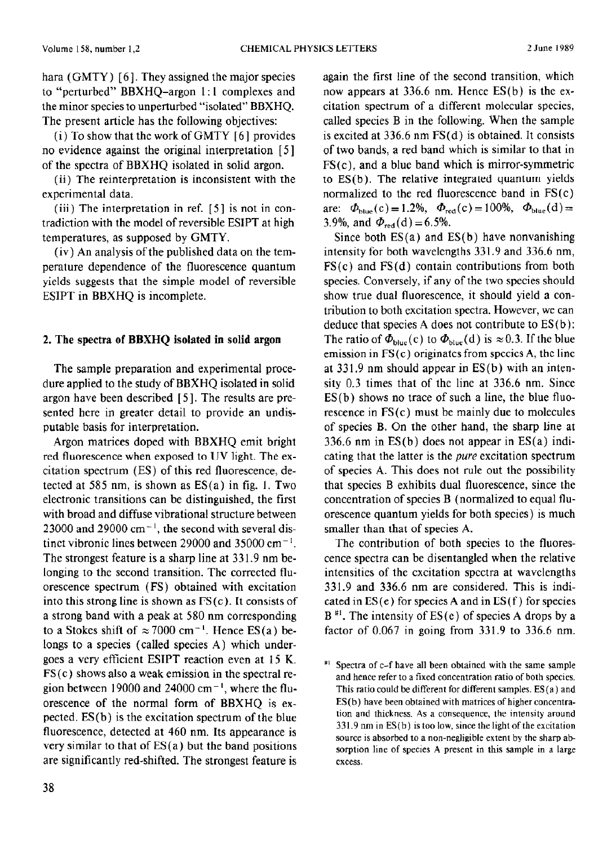hara (GMTY)  $[6]$ . They assigned the major species to "perturbed" BBXHQ-argon 1: 1 complexes and the minor species to unperturbed "isolated" BBXHQ. The present article has the following objectives:

(i) To show that the work of GMTY [ 6 ] provides no evidence against the original interpretation [5] of the spectra of BBXHQ isolated in solid argon.

(ii) The reinterpretation is inconsistent with the experimental data.

 $(iii)$  The interpretation in ref.  $[5]$  is not in contradiction with the model of reversible ESIPT at high temperatures, as supposed by GMTY.

(iv) An analysis of the published data on the temperature dependence of the fluorescence quantum yields suggests that the simple model of reversible ESIPT in BBXHQ is incomplete.

# 2. The spectra of **BBXHQ isolated in** solid argon

The sample preparation and experimental procedure applied to the study of BBXHQ isolated in solid argon have been described [5]. The results are presented here in greater detail to provide an undisputable basis for interpretation.

Argon matrices doped with BBXHQ emit bright red fluorescence when exposed to UV light. The excitation spectrum (ES) of this red fluorescence, detected at 585 nm, is shown as  $ES(a)$  in fig. 1. Two electronic transitions can be distinguished, the first with broad and diffuse vibrational structure between  $23000$  and  $29000$  cm<sup>-1</sup>, the second with several distinct vibronic lines between 29000 and 35000 cm<sup>-1</sup>. The strongest feature is a sharp line at 33 1.9 nm belonging to the second transition. The corrected fluorescence spectrum (FS) obtained with excitation into this strong line is shown as  $FS(c)$ . It consists of a strong band with a peak at 580 nm corresponding to a Stokes shift of  $\approx 7000$  cm<sup>-1</sup>. Hence ES(a) belongs to a species (called species A) which undergoes a very efficient ESIPT reaction even at 15 K.  $FS(c)$  shows also a weak emission in the spectral region between 19000 and 24000 cm<sup>-1</sup>, where the fluorescence of the normal form of BBXHQ is expected. ES(b) is the excitation spectrum of the blue fluorescence, detected at 460 nm. Its appearance is very similar to that of  $ES(a)$  but the band positions are significantly red-shifted. The strongest feature is again the first line of the second transition, which now appears at 336.6 nm. Hence ES(b) is the excitation spectrum of a different molecular species, called species B in the following. When the sample is excited at 336.6 nm FS(d) is obtained. It consists of two bands, a red band which is similar to that in  $FS(c)$ , and a blue band which is mirror-symmetric to ES(b). The relative integrated quantum yields normalized to the red fluorescence band in FS(c) are:  $\Phi_{blue}(c) = 1.2\%$ ,  $\Phi_{red}(c) = 100\%$ ,  $\Phi_{blue}(d) =$ 3.9%, and  $\Phi_{\text{red}}(d) = 6.5\%$ .

Since both  $ES(a)$  and  $ES(b)$  have nonvanishing intensity for both wavelengths 331.9 and 336.6 nm, FS(c) and FS(d) contain contributions from both species. Conversely, if any of the two species should show true dual fluorescence, it should yield a contribution to both excitation spectra. However, we can deduce that species A does not contribute to  $ES(b)$ : The ratio of  $\Phi_{blue}(c)$  to  $\Phi_{blue}(d)$  is  $\approx 0.3$ . If the blue emission in  $FS(c)$  originates from species A, the line at 33 1.9 nm should appear in ES(b) with an intensity 0.3 times that of the line at 336.6 nm. Since  $ES(b)$  shows no trace of such a line, the blue fluorescence in FS(c) must be mainly due to molecules of species B. On the other hand, the sharp line at 336.6 **nm** in ES(b) does not appear in ES(a) indicating that the latter is the *pure* excitation spectrum of species A. This does not rule out the possibility that species B exhibits dual fluorescence, since the concentration of species B (normalized to equal fluorescence quantum yields for both species) is much smaller than that of species A.

The contribution of both species to the fluorescence spectra can be disentangled when the relative intensities of the excitation spectra at wavelengths 331.9 and 336.6 nm **are** considered. This is indicated in  $ES(e)$  for species A and in  $ES(f)$  for species  $B^{\#1}$ . The intensity of ES(e) of species A drops by a factor of 0.067 in going from 331.9 to 336.6 nm.

<sup>#&#</sup>x27; Spectra of c-f have all **been** obtained with the same sample **and** hence refer to a fixed concentration ratio of both species. This ratio could be different for different samples. ES(a) and ES(b) **have** been obtained with matrices of higher **concentra**tion and thickness. As a consequence, the intensity around 331.9 **nm** in ES(b) is too low, since the light of the excitation source is absorbed to a non-negligible extent by the sharp absorption line of species A present **in this sample in a large excess.**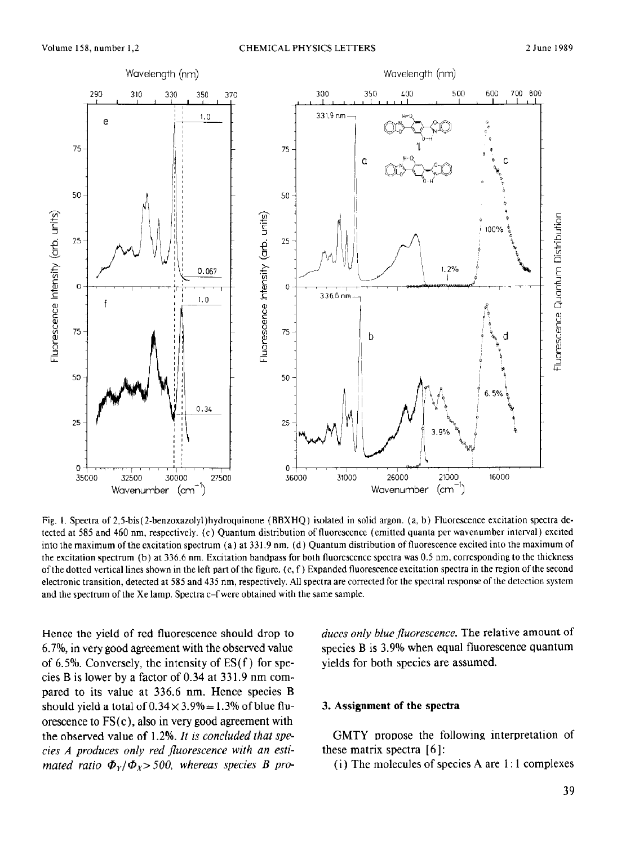

Fig. I. Spectra of 2,5-bis( 2-benzoxazolyl)hydroquinone (BBXHQ) isolated in solid argon. (a, b) Fluorescence excitation spectra detected at 585 and 460 nm, respectively. (c) Quantum distribution of fluorescence (emitted quanta per wavenumber interval) excited into the maximum ofthe excitation spectrum (a) at 331.9 nm. (d) Quantum distribution of fluorescence excited into the maximum of the excitation spectrum (b) at 336.6 nm. Excitation bandpass for both fluorescence spectra was 0.5 nm, corresponding to the thickness of the dotted vertical lines shown in the left part of the figure. (c, f) Expanded fluorescence excitation spectra in Ihe region of the second electronic transition, detected at 585 and 435 nm, respectively. All spectra are corrected for the spectral response of the detection system and the spectrum of the Xe lamp. Spectra c-f were obtained with the same sample.

Hence the yield of red fluorescence should drop to 6.7%, in very good agreement with the observed value of 6.5%. Conversely, the intensity of  $ES(f)$  for species B is lower by a factor of  $0.34$  at  $331.9$  nm compared to its value at 336.6 nm. Hence species B should yield a total of  $0.34 \times 3.9\% = 1.3\%$  of blue fluorescence to  $FS(c)$ , also in very good agreement with the observed value of 1.2%. *It is concluded that speties A produces only red fluorescence with an estimated ratio*  $\Phi_{Y}/\Phi_{Y}$  > 500, whereas species *B* produces *only blue jluorescence.* The relative amount of species B is 3.9% when equal fluorescence quantum yields for both species are assumed.

### 3. Assignment of the spectra

GMTY propose the following interpretation of these matrix spectra [ 61:

(i) The molecules of species A are 1: 1 complexes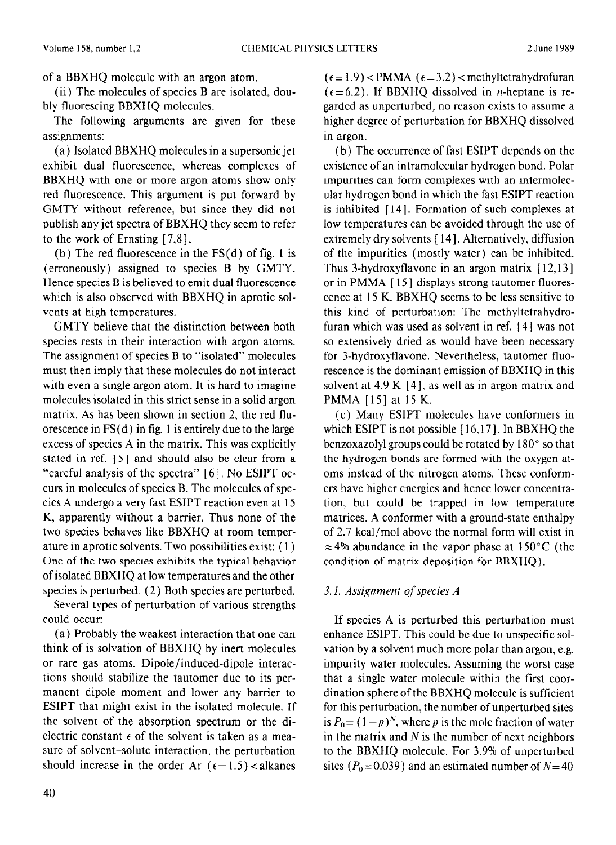of a BBXHQ molecule with an argon atom.

(ii) The molecules of species B are isolated, doubly fluorescing BBXHQ molecules.

The following arguments are given for these assignments:

(a) Isolated BBXHQ molecules in a supersonic jet exhibit dual fluorescence, whereas complexes of BBXHQ with one or more argon atoms show only red fluorescence. This argument is put forward by GMTY without reference, but since they did not publish any jet spectra of BBXHQ they seem to refer to the work of Ernsting [ 7,8].

(b) The red fluorescence in the  $FS(d)$  of fig. 1 is (erroneously) assigned to species B by GMTY. Hence species B is believed to emit dual fluorescence which is also observed with BBXHO in aprotic solvents at high tcmpcratures.

GMTY believe that the distinction between both species rests in their interaction with argon atoms. The assignment of species B to "isolated" molecules must then imply that these molecules do not interact with even a single argon atom. It is hard to imagine molecules isolated in this strict sense in a solid argon matrix. As has been shown in section 2, the red fluorescence in  $FS(d)$  in fig. 1 is entirely due to the large excess of species A in the matrix. This was explicitly stated in ref. [5] and should also be clear from a "careful analysis of the spectra" [6]. No ESIPT occurs in molecules of species B. The molecules of species A undergo a very fast ESIPT reaction even at 15 K, apparently without a barrier. Thus none of the two species behaves like BBXHQ at room temperature in aprotic solvents. Two possibilities exist: ( 1) One of the two species exhibits the typical behavior of isolated BBXHQ at low temperatures and the other species is perturbed. (2) Both species are perturbed.

Several types of perturbation of various strengths could occur:

(a) Probably the weakest interaction that one can think of is solvation of BBXHQ by inert molecules or rare gas atoms. Dipole/induced-dipole interactions should stabilize the tautomer due to its permanent dipole moment and lower any barrier to ESIPT that might exist in the isolated molecule. If the solvent of the absorption spectrum or the dielectric constant  $\epsilon$  of the solvent is taken as a measure of solvent-solute interaction, the perturbation should increase in the order Ar  $(\epsilon = 1.5)$  <alkanes  $(\epsilon = 1.9)$  <PMMA ( $\epsilon = 3.2$ ) <methyltetrahydrofuran  $(\epsilon = 6.2)$ . If BBXHQ dissolved in *n*-heptane is regarded as unperturbed, no reason exists to assume a higher degree of perturbation for BBXHQ dissolved in argon.

(b) The occurrcncc of fast ESIPT dcpcnds on the existence of an intramolecular hydrogen bond. Polar impurities can form complexes with an intermolecular hydrogen bond in which the fast ESIPT reaction is inhibited [ 141. Formation of such complexes at low temperatures can be avoided through the use of extremely dry solvents [ 141. Alternatively, diffusion of the impurities (mostly water) can be inhibited. Thus 3-hydroxyflavone in an argon matrix  $[12,13]$ or in PMMA [15] displays strong tautomer fluorescence at 15 K. BBXHQ seems to be less sensitive to this kind of perturbation: The methyltetrahydrofuran which was used as solvent in ref. [4] was not so extensively dried as would have been necessary for 3-hydroxyflavone. Nevertheless, tautomer fluorescence is the dominant emission of BBXHQ in this solvent at  $4.9 K [4]$ , as well as in argon matrix and PMMA [15] at 15 K.

(c) Many ESIPT molecules have conformers in which ESIPT is not possible [16,17]. In BBXHQ the benzoxazolyl groups could be rotated by 180" so that the hydrogen bonds are formed with the oxygen atoms instead of the nitrogen atoms. Thcsc conformers have higher energies and hence lower concentration, but could be trapped in low temperature matrices. A conformer with a ground-state enthalpy of 2.7 kcal/mol above the normal form will exist in  $\approx$  4% abundance in the vapor phase at 150°C (the condition of matrix deposition for BBXHQ).

# 3.1. *Assignment of species A*

If species A is perturbed this perturbation must enhance ESIPT. This could bc due to unspecific solvation by a solvent much more polar than argon, e.g. impurity water molecules. Assuming the worst case that a single water molecule within the first coordination sphere of the BBXHQ molecule is sufficient for this perturbation, the number of unperturbed sites is  $P_0 = (1-p)^N$ , where p is the mole fraction of water in the matrix and  $N$  is the number of next neighbors to the BBXHQ molecule. For 3.9% of unperturbed sites ( $P_0$ =0.039) and an estimated number of N=40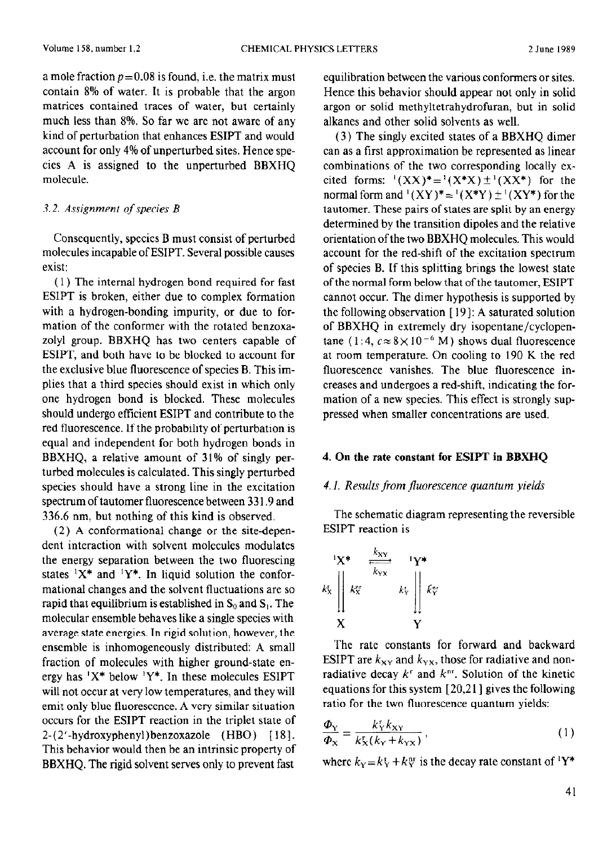a mole fraction  $p=0.08$  is found, i.e. the matrix must contain 8% of water. It is probable that the argon matrices contained traces of water, but certainly much less than 8%. So far we are not aware of any kind of perturbation that enhances ESIPT and would account for only 4% of unperturbed sites. Hence species A is assigned to the unperturbed BBXHQ molecule.

### 3.2. *Assignment of species B*

Consequently, species B must consist of perturbed molecules incapable of ESIPT. Several possible causes exist:

( 1) The internal hydrogen bond required for fast ESIPT is broken, either due to complex formation with a hydrogen-bonding impurity, or due to formation of the conformer with the rotated benzoxazolyl group. BBXHQ has two centers capable of ESIPT, and both have to be blocked to account for the exclusive blue fluorescence of species B. This implies that a third species should exist in which only one hydrogen bond is blocked. These molecules should undergo efficient ESIPT and contribute to the red fluorescence. If the probability of perturbation is equal and independent for both hydrogen bonds in BBXHQ, a relative amount of 31% of singly **per**turbed molecules **is** calculated. This singly perturbed **species** should have a strong line in the excitation spectrum of tautomer fluorescence between 331.9 and 336.6 nm, but nothing of this kind is observed.

(2) A conformational change or the site-dependent interaction with solvent molecules modulates the energy separation between the two fluorescing states  $X^*$  and  $Y^*$ . In liquid solution the conformational changes and the solvent fluctuations are so rapid that equilibrium is established in  $S_0$  and  $S_1$ . The molecular ensemble behaves like a single species with average state energies. In rigid solution, however, the ensemble is inhomogeneously distributed: A small fraction of molecules with higher ground-state energy has 'X\* below 'Y\*. In these molecules ESIPT will not occur at very low temperatures, and they will emit only blue fluorescence. A very similar situation occurs for the ESIPT reaction in the triplet state of  $2-(2'-hydroxyphenyl)benzoxazole$  (HBO) [18]. This behavior would then be an intrinsic property of BBXHQ. The rigid solvent serves only to prevent fast

equilibration between the various conformers or sites. Hence this behavior should appear not only in solid argon or solid methyltetrahydrofuran, but in solid alkanes and other solid solvents as well.

(3) The singly excited states of a BBXHQ dimer can as a first approximation be represented as linear combinations of the two corresponding locally excited forms:  $(XX)^* = {^1(X^*X)} \pm {^1(XX^*)}$  for the normal form and  $^1$ (XY)\*= $^1$ (X\*Y) $\pm^1$ (XY\*) for the tautomer. These pairs of states are split by an energy determined by the transition dipoles and the relative orientation of the two BBXHQ molecules. This would account for the red-shift of the excitation spectrum of species B. If this splitting brings the lowest state of the normal form below that of the tautomer, ESIPT cannot occur. The dimer hypothesis is supported by the following observation  $[19]$ : A saturated solution of BBXHQ in extremely dry isopentane/cyclopentane  $(1:4, c \approx 8 \times 10^{-6} \text{ M})$  shows dual fluorescence at room temperature. On cooling to 190 K the red fluorescence vanishes. The blue fluorescence increases and undergoes a red-shift, indicating the formation of a new species. This effect is strongly suppressed when smaller concentrations are used.

### 4. On the **rate constant for ESII'T** in **BBXHQ**

### 4.1. *Results from jluorescence quantum yields*

The schematic diagram representing the reversible ESIPT reaction is

$$
k_{x} \parallel k_{y} \parallel k_{y} \parallel k_{y} \parallel k_{y} \parallel k_{y} \parallel k_{y} \parallel k_{y} \parallel k_{y} \parallel k_{y} \parallel k_{y} \parallel k_{y} \parallel k_{y} \parallel k_{y} \parallel k_{y} \parallel k_{y} \parallel k_{y} \parallel k_{y} \parallel k_{y} \parallel k_{y} \parallel k_{y} \parallel k_{y} \parallel k_{y} \parallel k_{y} \parallel k_{y} \parallel k_{y} \parallel k_{y} \parallel k_{y} \parallel k_{y} \parallel k_{y} \parallel k_{y} \parallel k_{y} \parallel k_{y} \parallel k_{y} \parallel k_{y} \parallel k_{y} \parallel k_{y} \parallel k_{y} \parallel k_{y} \parallel k_{y} \parallel k_{y} \parallel k_{y} \parallel k_{y} \parallel k_{y} \parallel k_{y} \parallel k_{y} \parallel k_{y} \parallel k_{y} \parallel k_{y} \parallel k_{y} \parallel k_{y} \parallel k_{y} \parallel k_{y} \parallel k_{y} \parallel k_{y} \parallel k_{y} \parallel k_{y} \parallel k_{y} \parallel k_{y} \parallel k_{y} \parallel k_{y} \parallel k_{y} \parallel k_{y} \parallel k_{y} \parallel k_{y} \parallel k_{y} \parallel k_{y} \parallel k_{y} \parallel k_{y} \parallel k_{y} \parallel k_{y} \parallel k_{y} \parallel k_{y} \parallel k_{y} \parallel k_{y} \parallel k_{y} \parallel k_{y} \parallel k_{y} \parallel k_{y} \parallel k_{y} \parallel k_{y} \parallel k_{y} \parallel k_{y} \parallel k_{y} \parallel k_{y} \parallel k_{y} \parallel k_{y} \parallel k_{y} \parallel k_{y} \parallel k_{y} \parallel k_{y} \parallel k_{y} \parallel k_{y} \parallel k_{y} \parallel k_{y} \parallel k_{y} \parallel k_{y} \parallel k_{y} \parallel k_{y} \parallel k_{y} \parallel k_{y} \parallel k_{y} \parallel k_{y} \parallel k_{y} \parallel k_{y} \parallel k_{y} \parallel k_{y} \parallel k_{y} \parallel k_{y} \parallel k_{y} \parallel k_{y} \parallel k_{y} \parallel k_{y} \parallel k_{y} \parallel k_{y} \parallel k_{y} \parallel k_{y} \parallel k_{y} \parallel k_{y} \parallel k_{y} \parallel k_{y} \parallel k_{y} \parallel k_{y} \parallel k_{y} \parallel k_{y} \parallel k_{y} \parallel k_{y
$$

The rate constants for forward and backward ESIPT are  $k_{XY}$  and  $k_{YX}$ , those for radiative and nonradiative decay  $k^r$  and  $k^{nr}$ . Solution of the kinetic equations for this system [ 20,2 1 ] gives the following ratio for the two fluorescence quantum yields:

$$
\frac{\Phi_{\rm Y}}{\Phi_{\rm X}} = \frac{k_{\rm Y}^{\rm r} k_{\rm XY}}{k_{\rm X}^{\rm r} (k_{\rm Y} + k_{\rm YX})},\tag{1}
$$

where  $k_Y = k_Y^r + k_Y^{nr}$  is the decay rate constant of <sup>1</sup>Y<sup>\*</sup>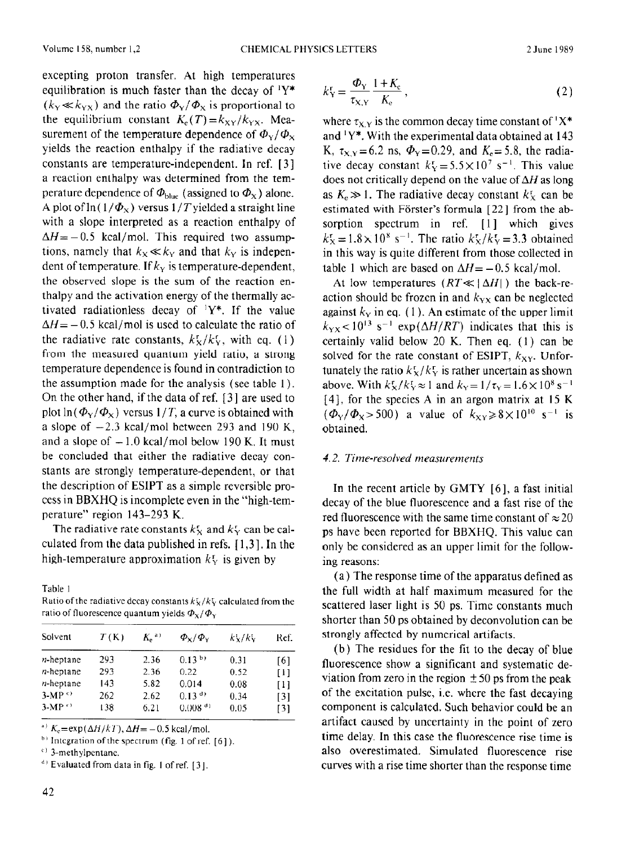excepting proton transfer. At high temperatures equilibration is much faster than the decay of  $Y^*$  $(k_Y \ll k_{YX})$  and the ratio  $\Phi_Y/\Phi_X$  is proportional to the equilibrium constant  $K_e(T) = k_{XY}/k_{YX}$ . Measurement of the temperature dependence of  $\Phi_{\rm Y}/\Phi_{\rm X}$ yields the reaction enthalpy if the radiative decay constants are temperature-independent. In ref. [ 31 a reaction enthalpy was determined from the temperature dependence of  $\Phi_{blue}$  (assigned to  $\Phi_{\rm x}$ ) alone. A plot of  $\ln(1/\Phi_{\rm X})$  versus  $1/T$  yielded a straight line with a slope interpreted as a reaction enthalpy of  $\Delta H = -0.5$  kcal/mol. This required two assumptions, namely that  $k_x \ll k_y$  and that  $k_y$  is independent of temperature. If  $k<sub>y</sub>$  is temperature-dependent, the observed slope is the sum of the reaction enthalpy and the activation energy of the thermally activated radiationless decay of  $Y^*$ . If the value  $\Delta H = -0.5$  kcal/mol is used to calculate the ratio of the radiative rate constants,  $k_X^r / k_Y^r$ , with eq. (1) from the measured quantum yield ratio, a strong temperature dependence is found in contradiction to the assumption made for the analysis (see table I ). On the other hand, if the data of ref. [ 31 are used to plot  $\ln(\Phi_{\rm V}/\Phi_{\rm x})$  versus  $1/T$ , a curve is obtained with a slope of  $-2.3$  kcal/mol between 293 and 190 K, and a slope of  $-1.0$  kcal/mol below 190 K. It must be concluded that either the radiative decay constants are strongly temperature-dependent, or that the description of ESIPT as a simple reversible process in BBXHQ is incomplete even in the "high-temperature" region 143-293 K.

The radiative rate constants  $k<sub>X</sub>$  and  $k<sub>Y</sub>$  can be calculated from the data published in refs.  $[1,3]$ . In the high-temperature approximation  $k_y$  is given by

Table 1

Ratio of the radiative decay constants  $k_x^2 / k_y^2$  calculated from the ratio of fluorescence quantum yields  $\Phi_{X}/\Phi_{Y}$ 

| Solvent              | T(K) | $Ke$ <sup>a</sup> | $\Phi_{\rm Y}/\Phi_{\rm V}$ | $k_x^r/k_y$ | Ref. |
|----------------------|------|-------------------|-----------------------------|-------------|------|
| $n$ -heptane         | 293  | 2.36              | $0.13^{b}$                  | 0.31        | [6]  |
| $n$ -heptane         | 293  | 2.36              | 0.22                        | 0.52        | [1]  |
| $n$ -heptane         | 143  | 5.82              | 0.014                       | 0.08        | [1]  |
| $3-MP^{\text{c}}$    | 262  | 2.62              | $0.13^{(d)}$                | 0.34        | [3]  |
| $3-MP$ <sup>c)</sup> | 138  | 6.21              | $0.008{d}$                  | 0.05        | [3]  |

<sup>a)</sup>  $K_c = \exp(\Delta H/kT)$ ,  $\Delta H = -0.5$  kcal/mol.

<sup>b)</sup> Integration of the spectrum (fig. 1 of ref. [6]).

 $(1)$  3-methylpentanc.

$$
k_X^{\rm r} = \frac{\Phi_{\rm Y}}{\tau_{\rm X,Y}} \frac{1 + K_{\rm e}}{K_{\rm e}},\tag{2}
$$

where  $\tau_{X,Y}$  is the common decay time constant of 'X\* and  $Y^*$ . With the experimental data obtained at 143 K,  $\tau_{X,Y}$ =6.2 ns,  $\Phi_Y$ =0.29, and  $K_e$ =5.8, the radiative decay constant  $k_x = 5.5 \times 10^7$  s<sup>-1</sup>. This value does not critically depend on the value of  $\Delta H$  as long as  $K_e \gg 1$ . The radiative decay constant  $k_x^r$  can be estimated with Förster's formula [22] from the absorption spectrum in ref. [l] which gives  $k_{\rm X}^{\rm r} = 1.8 \times 10^{8} \text{ s}^{-1}$ . The ratio  $k_{\rm X}^{\rm r}/k_{\rm Y}^{\rm r} = 3.3 \text{ obtained}$ in this way is quite different from those collected in table 1 which are based on  $\Delta H = -0.5$  kcal/mol.

At low temperatures  $(RT \ll |\Delta H|)$  the back-reaction should bc frozen in and *kyx* can be neglected against  $k_y$  in eq. (1). An estimate of the upper limit  $k_{\text{yx}}$  < 10<sup>13</sup> s<sup>-1</sup> exp( $\Delta H/RT$ ) indicates that this is certainly valid below 20 K. Then eq. (1) can be solved for the rate constant of ESIPT,  $k_{XY}$ . Unfortunately the ratio  $k_x^r/k_y^r$  is rather uncertain as shown above. With  $k_x^r / k_y^r \approx 1$  and  $k_y = 1/\tau_y = 1.6 \times 10^8$  s<sup>-1</sup>  $[4]$ , for the species A in an argon matrix at 15 K  $(\Phi_{Y}/\Phi_{X} > 500)$  a value of  $k_{XY} \ge 8 \times 10^{10}$  s<sup>-1</sup> is obtained.

## 4.2. *Time-resolved measurements*

In the recent article by GMTY [6], a fast initial decay of the blue fluorescence and a fast rise of the red fluorescence with the same time constant of  $\approx 20$ ps have been reported for BBXHQ. This value can only be considered as an upper limit for the following reasons:

(a) The response time of the apparatus defined as the full width at half maximum measured for the scattered laser light is 50 ps. Time constants much shorter than 50 ps obtained by deconvolution can be strongly affected by numerical artifacts.

(b) The residues for the fit to the decay of blue fluorescence show a significant and systematic deviation from zero in the region  $\pm 50$  ps from the peak of the excitation pulse, i.e. where the fast decaying component is calculated. Such behavior could be an artifact caused by uncertainty in the point of zero time delay. In this case the fluorescence rise time is also overestimated. Simulated fluorescence rise curves with a rise time shorter than the response time

d' **Evaluated** from data in fig. I of ref. [ 31.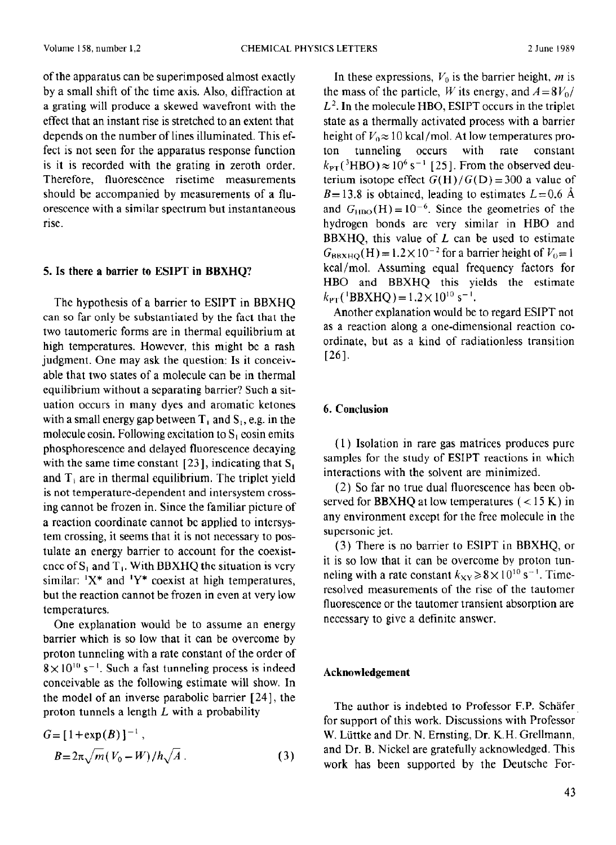of the apparatus can be superimposed almost exactly by a small shift of the time axis. Also, diffraction at a grating will produce a skewed wavefront with the effect that an instant rise is stretched to an extent that depends on the number of lines illuminated. This effect is not seen for the apparatus response function is it is recorded with the grating in zeroth order. Therefore, fluorescence risetime measurements should be accompanied by measurements of a fluorescence with a similar spectrum but instantaneous rise.

#### 5. Is there **a** barrier to **ESIPT in BBXHQ?**

The hypothesis of a barrier to ESIPT in BBXHQ can so far only be substantiated by the fact that the two tautomeric forms are in thermal equilibrium at high temperatures. However, this might be a rash judgment. One may ask the question: Is **it conceiv**able that two states of a molecule can **be** in thermal equilibrium without a separating barrier? Such a situation occurs in **many dyes** and aromatic ketones with a small energy gap between  $T_1$  and  $S_1$ , e.g. in the molecule eosin. Following excitation to  $S_1$  eosin emits phosphorescence and delayed fluorescence decaying with the same time constant [23], indicating that  $S_1$ and  $T_1$  are in thermal equilibrium. The triplet yield is not temperature-dependent and intersystem crossing cannot be frozen in. Since the familiar picture of a reaction coordinate cannot bc applied to intcrsystem crossing, it seems that it is not necessary to postulate an energy barrier to account for the coexistence of  $S_1$  and  $T_1$ . With BBXHQ the situation is very similar:  $X^*$  and  $Y^*$  coexist at high temperatures, but the reaction cannot be frozen in even at very low temperatures.

One explanation would be to assume an energy barrier which is so low that it can be overcome by proton tunneling with a rate constant of the order of  $8 \times 10^{10}$  s<sup>-1</sup>. Such a fast tunneling process is indeed conceivable as the following estimate will show. In the model of an inverse parabolic barrier [24], the proton tunnels a length *L* with a probability

$$
G = [1 + \exp(B)]^{-1}, B = 2\pi \sqrt{m} (V_0 - W)/h \sqrt{A}.
$$
 (3)

In these expressions,  $V_0$  is the barrier height, m is the mass of the particle, W its energy, and  $A = 8V_0/$  $L<sup>2</sup>$ . In the molecule HBO, ESIPT occurs in the triplet state as a thermally activated process with a barrier height of  $V_0 \approx 10$  kcal/mol. At low temperatures proton tunneling occurs with rate constant  $k_{\text{PT}}$ (<sup>3</sup>HBO)  $\approx$  10<sup>6</sup> s<sup>-1</sup> [25]. From the observed deuterium isotope effect  $G(H)/G(D) = 300$  a value of  $B=13.8$  is obtained, leading to estimates  $L=0.6$  Å and  $G_{HBO}(H) = 10^{-6}$ . Since the geometries of the hydrogen bonds are very similar in HBO and BBXHQ, this value of *L* can be used to estimate  $G_{BRXHO}(H) = 1.2 \times 10^{-2}$  for a barrier height of  $V_0 = 1$ kcal/mol. Assuming equal frequency factors for HBO and BBXHQ this yields the estimate  $k_{\text{PT}}$ (<sup>1</sup>BBXHO) = 1.2× 10<sup>10</sup> s<sup>-1</sup>.

Another explanation would be to regard ESIPT not as a reaction along a one-dimensional reaction coordinate, but as a kind of radiationless transition 1261.

## 6. **Conclusion**

(1) Isolation in rare gas matrices produces pure samples for the study of **ESIPT** reactions in which interactions with the solvent are minimized.

(2) So far no true dual fluorescence has been observed for BBXHQ at low temperatures  $(<15 K)$  in any environment except for the free molecule in the supersonic jet.

(3) There is no barrier to ESIPT in BBXHQ, or it is so low that it can be overcome by proton tunneling with a rate constant  $k_{XY} \ge 8 \times 10^{10}$  s<sup>-1</sup>. Timeresolved measurements of the rise of the tautomer fluorescence or the tautomer transient absorption are ncccssary to give a definite answer.

## **Acknowledgement**

The author is indebted to Professor F.P. Schafer for support of this work. Discussions with Professor W. Liittke and Dr. N. Ernsting, Dr. K.H. Grellmann, and Dr. B. Nickel are gratefully acknowledged. This work has been supported by the Deutsche For